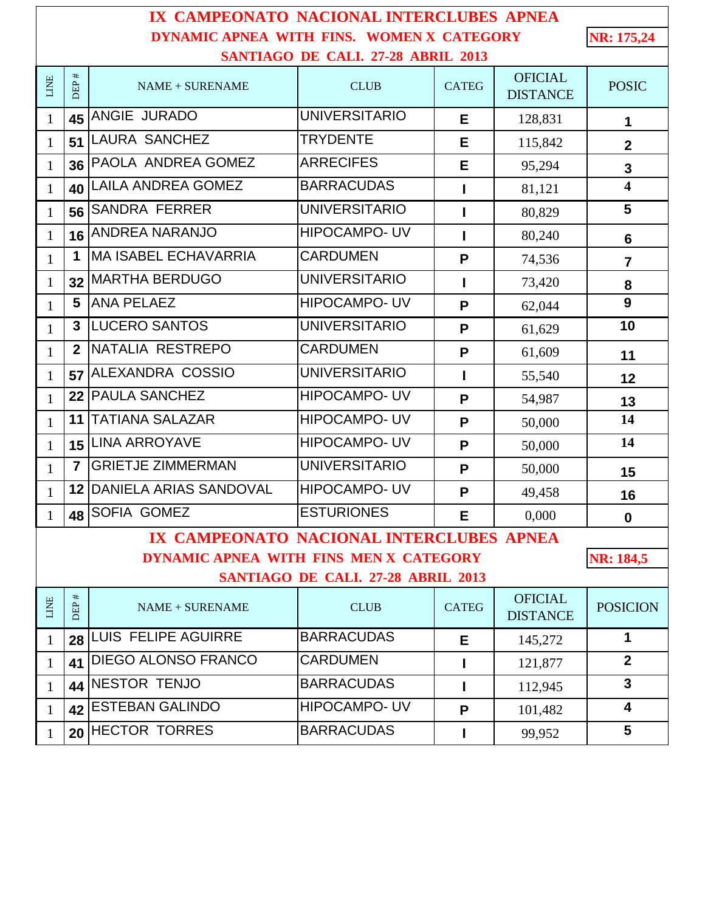| IX CAMPEONATO NACIONAL INTERCLUBES APNEA                |                   |                             |                      |              |                                   |                         |  |  |  |  |
|---------------------------------------------------------|-------------------|-----------------------------|----------------------|--------------|-----------------------------------|-------------------------|--|--|--|--|
| DYNAMIC APNEA WITH FINS. WOMEN X CATEGORY<br>NR: 175,24 |                   |                             |                      |              |                                   |                         |  |  |  |  |
| SANTIAGO DE CALI. 27-28 ABRIL 2013                      |                   |                             |                      |              |                                   |                         |  |  |  |  |
| LINE                                                    | $\ddagger$<br>DEP | NAME + SURENAME             | <b>CLUB</b>          | <b>CATEG</b> | <b>OFICIAL</b><br><b>DISTANCE</b> | <b>POSIC</b>            |  |  |  |  |
| $\mathbf{1}$                                            | 45                | ANGIE JURADO                | <b>UNIVERSITARIO</b> | Е            | 128,831                           | 1                       |  |  |  |  |
| $\mathbf{1}$                                            | 51                | <b>LAURA SANCHEZ</b>        | <b>TRYDENTE</b>      | E            | 115,842                           | $\overline{2}$          |  |  |  |  |
| $\mathbf{1}$                                            | 36                | PAOLA ANDREA GOMEZ          | <b>ARRECIFES</b>     | E            | 95,294                            | $\mathbf{3}$            |  |  |  |  |
| $\mathbf{1}$                                            | 40                | <b>LAILA ANDREA GOMEZ</b>   | <b>BARRACUDAS</b>    | ı            | 81,121                            | $\overline{\mathbf{4}}$ |  |  |  |  |
| $\mathbf{1}$                                            | 56                | <b>SANDRA FERRER</b>        | <b>UNIVERSITARIO</b> | ı            | 80,829                            | 5                       |  |  |  |  |
| $\mathbf{1}$                                            | 16                | <b>ANDREA NARANJO</b>       | <b>HIPOCAMPO-UV</b>  | ı            | 80,240                            | $6\phantom{1}$          |  |  |  |  |
| $\mathbf{1}$                                            | 1                 | <b>MA ISABEL ECHAVARRIA</b> | <b>CARDUMEN</b>      | P            | 74,536                            | $\overline{7}$          |  |  |  |  |
| $\mathbf{1}$                                            | 32                | <b>MARTHA BERDUGO</b>       | <b>UNIVERSITARIO</b> | L            | 73,420                            | 8                       |  |  |  |  |
| $\mathbf{1}$                                            | 5                 | <b>ANA PELAEZ</b>           | <b>HIPOCAMPO- UV</b> | P            | 62,044                            | 9                       |  |  |  |  |
| $\mathbf{1}$                                            | 3                 | <b>LUCERO SANTOS</b>        | <b>UNIVERSITARIO</b> | P            | 61,629                            | 10                      |  |  |  |  |
| $\mathbf{1}$                                            | $\mathbf{2}$      | NATALIA RESTREPO            | <b>CARDUMEN</b>      | P            | 61,609                            | 11                      |  |  |  |  |
| $\mathbf{1}$                                            | 57                | ALEXANDRA COSSIO            | <b>UNIVERSITARIO</b> | ı            | 55,540                            | 12                      |  |  |  |  |
| $\mathbf{1}$                                            | 22                | <b>PAULA SANCHEZ</b>        | <b>HIPOCAMPO-UV</b>  | P            | 54,987                            | 13                      |  |  |  |  |
| $\mathbf{1}$                                            | 11                | <b>TATIANA SALAZAR</b>      | <b>HIPOCAMPO-UV</b>  | P            | 50,000                            | 14                      |  |  |  |  |
| $\mathbf{1}$                                            | 15                | <b>LINA ARROYAVE</b>        | <b>HIPOCAMPO-UV</b>  | P            | 50,000                            | 14                      |  |  |  |  |
| $\mathbf{1}$                                            | $\overline{7}$    | <b>GRIETJE ZIMMERMAN</b>    | <b>UNIVERSITARIO</b> | P            | 50,000                            | 15                      |  |  |  |  |
| $\mathbf{1}$                                            | 12                | DANIELA ARIAS SANDOVAL      | <b>HIPOCAMPO-UV</b>  | P            | 49,458                            | 16                      |  |  |  |  |
| $\mathbf{1}$                                            |                   | 48 SOFIA GOMEZ              | <b>ESTURIONES</b>    | Е            | 0,000                             | $\mathbf 0$             |  |  |  |  |
| IX CAMPEONATO NACIONAL INTERCLUBES APNEA                |                   |                             |                      |              |                                   |                         |  |  |  |  |
| DYNAMIC APNEA WITH FINS MEN X CATEGORY<br>NR: 184,5     |                   |                             |                      |              |                                   |                         |  |  |  |  |
| SANTIAGO DE CALI. 27-28 ABRIL 2013                      |                   |                             |                      |              |                                   |                         |  |  |  |  |
| LINE                                                    | $\ddot{}$<br>DEP  | NAME + SURENAME             | <b>CLUB</b>          | <b>CATEG</b> | <b>OFICIAL</b><br><b>DISTANCE</b> | <b>POSICION</b>         |  |  |  |  |
| $\mathbf{1}$                                            | 28                | <b>LUIS FELIPE AGUIRRE</b>  | <b>BARRACUDAS</b>    | Е            | 145,272                           | $\mathbf 1$             |  |  |  |  |
| $\mathbf{1}$                                            | 41                | <b>DIEGO ALONSO FRANCO</b>  | <b>CARDUMEN</b>      | ı            | 121,877                           | $\overline{2}$          |  |  |  |  |
| $\mathbf{1}$                                            | 44                | <b>NESTOR TENJO</b>         | <b>BARRACUDAS</b>    | L            | 112,945                           | $\mathbf{3}$            |  |  |  |  |
| $\mathbf{1}$                                            | 42                | <b>ESTEBAN GALINDO</b>      | <b>HIPOCAMPO-UV</b>  | P            | 101,482                           | 4                       |  |  |  |  |
| $\mathbf{1}$                                            | 20                | <b>HECTOR TORRES</b>        | <b>BARRACUDAS</b>    | L            | 99,952                            | $5\phantom{.0}$         |  |  |  |  |